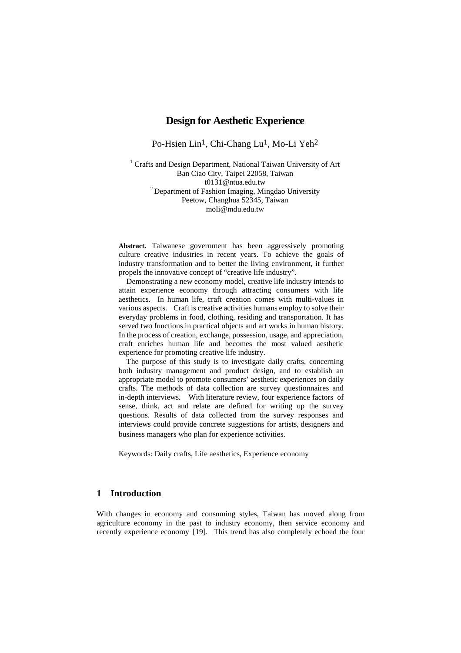# **Design for Aesthetic Experience**

Po-Hsien Lin<sup>1</sup>, Chi-Chang Lu<sup>1</sup>, Mo-Li Yeh<sup>2</sup>

<sup>1</sup> Crafts and Design Department, National Taiwan University of Art Ban Ciao City, Taipei 22058, Taiwan t0131@ntua.edu.tw  $2$  Department of Fashion Imaging, Mingdao University Peetow, Changhua 52345, Taiwan moli@mdu.edu.tw

**Abstract.** Taiwanese government has been aggressively promoting culture creative industries in recent years. To achieve the goals of industry transformation and to better the living environment, it further propels the innovative concept of "creative life industry".

Demonstrating a new economy model, creative life industry intends to attain experience economy through attracting consumers with life aesthetics. In human life, craft creation comes with multi-values in various aspects. Craft is creative activities humans employ to solve their everyday problems in food, clothing, residing and transportation. It has served two functions in practical objects and art works in human history. In the process of creation, exchange, possession, usage, and appreciation, craft enriches human life and becomes the most valued aesthetic experience for promoting creative life industry.

The purpose of this study is to investigate daily crafts, concerning both industry management and product design, and to establish an appropriate model to promote consumers' aesthetic experiences on daily crafts. The methods of data collection are survey questionnaires and in-depth interviews. With literature review, four experience factors of sense, think, act and relate are defined for writing up the survey questions. Results of data collected from the survey responses and interviews could provide concrete suggestions for artists, designers and business managers who plan for experience activities.

Keywords: Daily crafts, Life aesthetics, Experience economy

## **1 Introduction**

With changes in economy and consuming styles, Taiwan has moved along from agriculture economy in the past to industry economy, then service economy and recently experience economy [19]. This trend has also completely echoed the four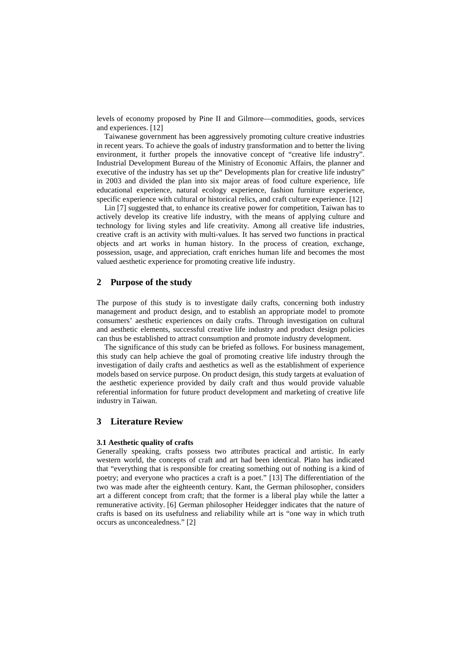levels of economy proposed by Pine II and Gilmore—commodities, goods, services and experiences. [12]

Taiwanese government has been aggressively promoting culture creative industries in recent years. To achieve the goals of industry transformation and to better the living environment, it further propels the innovative concept of "creative life industry". Industrial Development Bureau of the Ministry of Economic Affairs, the planner and executive of the industry has set up the" Developments plan for creative life industry" in 2003 and divided the plan into six major areas of food culture experience, life educational experience, natural ecology experience, fashion furniture experience, specific experience with cultural or historical relics, and craft culture experience. [12]

Lin [7] suggested that, to enhance its creative power for competition, Taiwan has to actively develop its creative life industry, with the means of applying culture and technology for living styles and life creativity. Among all creative life industries, creative craft is an activity with multi-values. It has served two functions in practical objects and art works in human history. In the process of creation, exchange, possession, usage, and appreciation, craft enriches human life and becomes the most valued aesthetic experience for promoting creative life industry.

### **2 Purpose of the study**

The purpose of this study is to investigate daily crafts, concerning both industry management and product design, and to establish an appropriate model to promote consumers' aesthetic experiences on daily crafts. Through investigation on cultural and aesthetic elements, successful creative life industry and product design policies can thus be established to attract consumption and promote industry development.

The significance of this study can be briefed as follows. For business management, this study can help achieve the goal of promoting creative life industry through the investigation of daily crafts and aesthetics as well as the establishment of experience models based on service purpose. On product design, this study targets at evaluation of the aesthetic experience provided by daily craft and thus would provide valuable referential information for future product development and marketing of creative life industry in Taiwan.

## **3 Literature Review**

#### **3.1 Aesthetic quality of crafts**

Generally speaking, crafts possess two attributes practical and artistic. In early western world, the concepts of craft and art had been identical. Plato has indicated that "everything that is responsible for creating something out of nothing is a kind of poetry; and everyone who practices a craft is a poet." [13] The differentiation of the two was made after the eighteenth century. Kant, the German philosopher, considers art a different concept from craft; that the former is a liberal play while the latter a remunerative activity. [6] German philosopher Heidegger indicates that the nature of crafts is based on its usefulness and reliability while art is "one way in which truth occurs as unconcealedness." [2]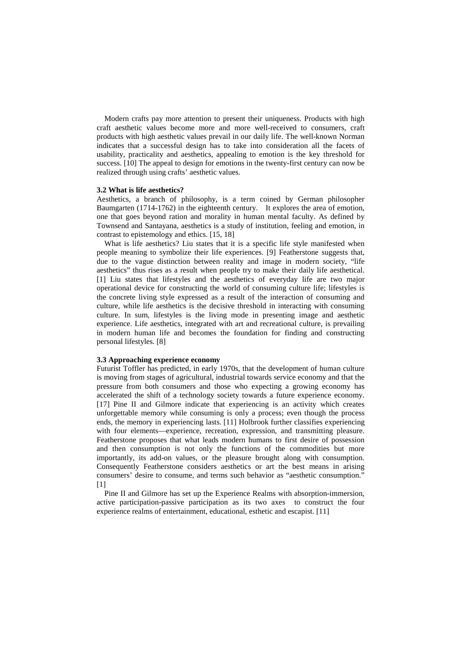Modern crafts pay more attention to present their uniqueness. Products with high craft aesthetic values become more and more well-received to consumers, craft products with high aesthetic values prevail in our daily life. The well-known Norman indicates that a successful design has to take into consideration all the facets of usability, practicality and aesthetics, appealing to emotion is the key threshold for success. [10] The appeal to design for emotions in the twenty-first century can now be realized through using crafts' aesthetic values.

### **3.2 What is life aesthetics?**

Aesthetics, a branch of philosophy, is a term coined by German philosopher Baumgarten (1714-1762) in the eighteenth century. It explores the area of emotion, one that goes beyond ration and morality in human mental faculty. As defined by Townsend and Santayana, aesthetics is a study of institution, feeling and emotion, in contrast to epistemology and ethics. [15, 18]

What is life aesthetics? Liu states that it is a specific life style manifested when people meaning to symbolize their life experiences. [9] Featherstone suggests that, due to the vague distinction between reality and image in modern society, "life aesthetics" thus rises as a result when people try to make their daily life aesthetical. [1] Liu states that lifestyles and the aesthetics of everyday life are two major operational device for constructing the world of consuming culture life; lifestyles is the concrete living style expressed as a result of the interaction of consuming and culture, while life aesthetics is the decisive threshold in interacting with consuming culture. In sum, lifestyles is the living mode in presenting image and aesthetic experience. Life aesthetics, integrated with art and recreational culture, is prevailing in modern human life and becomes the foundation for finding and constructing personal lifestyles. [8]

#### **3.3 Approaching experience economy**

Futurist Toffler has predicted, in early 1970s, that the development of human culture is moving from stages of agricultural, industrial towards service economy and that the pressure from both consumers and those who expecting a growing economy has accelerated the shift of a technology society towards a future experience economy. [17] Pine II and Gilmore indicate that experiencing is an activity which creates unforgettable memory while consuming is only a process; even though the process ends, the memory in experiencing lasts. [11] Holbrook further classifies experiencing with four elements—experience, recreation, expression, and transmitting pleasure. Featherstone proposes that what leads modern humans to first desire of possession and then consumption is not only the functions of the commodities but more importantly, its add-on values, or the pleasure brought along with consumption. Consequently Featherstone considers aesthetics or art the best means in arising consumers' desire to consume, and terms such behavior as "aesthetic consumption."  $[1]$ 

Pine II and Gilmore has set up the Experience Realms with absorption-immersion, active participation-passive participation as its two axes to construct the four experience realms of entertainment, educational, esthetic and escapist. [11]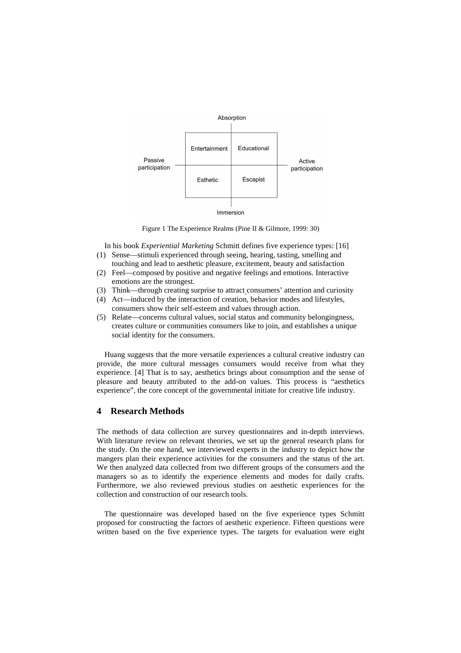

Figure 1 The Experience Realms (Pine II & Gilmore, 1999: 30)

In his book *Experiential Marketing* Schmitt defines five experience types: [16]

- (1) Sense—stimuli experienced through seeing, hearing, tasting, smelling and touching and lead to aesthetic pleasure, excitement, beauty and satisfaction
- (2) Feel—composed by positive and negative feelings and emotions. Interactive emotions are the strongest.
- (3) Think—through creating surprise to attract consumers' attention and curiosity
- (4) Act—induced by the interaction of creation, behavior modes and lifestyles, consumers show their self-esteem and values through action.
- (5) Relate—concerns cultural values, social status and community belongingness, creates culture or communities consumers like to join, and establishes a unique social identity for the consumers.

Huang suggests that the more versatile experiences a cultural creative industry can provide, the more cultural messages consumers would receive from what they experience. [4] That is to say, aesthetics brings about consumption and the sense of pleasure and beauty attributed to the add-on values. This process is "aesthetics experience", the core concept of the governmental initiate for creative life industry.

# **4 Research Methods**

The methods of data collection are survey questionnaires and in-depth interviews. With literature review on relevant theories, we set up the general research plans for the study. On the one hand, we interviewed experts in the industry to depict how the mangers plan their experience activities for the consumers and the status of the art. We then analyzed data collected from two different groups of the consumers and the managers so as to identify the experience elements and modes for daily crafts. Furthermore, we also reviewed previous studies on aesthetic experiences for the collection and construction of our research tools.

The questionnaire was developed based on the five experience types Schmitt proposed for constructing the factors of aesthetic experience. Fifteen questions were written based on the five experience types. The targets for evaluation were eight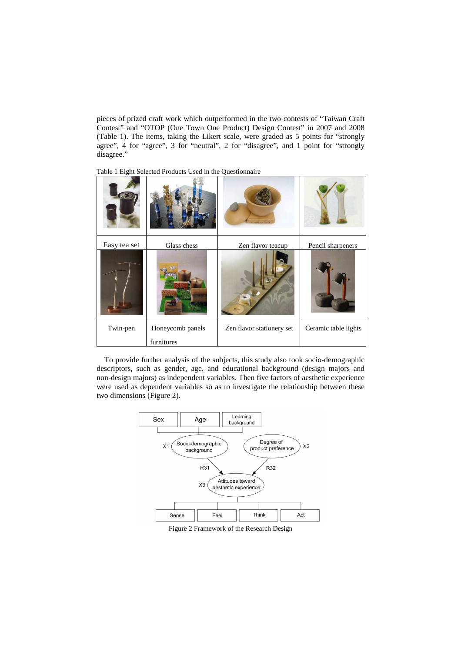pieces of prized craft work which outperformed in the two contests of "Taiwan Craft Contest" and "OTOP (One Town One Product) Design Contest" in 2007 and 2008 (Table 1). The items, taking the Likert scale, were graded as 5 points for "strongly agree", 4 for "agree", 3 for "neutral", 2 for "disagree", and 1 point for "strongly disagree."

| Easy tea set | Glass chess<br>Zen flavor teacup |                           | Pencil sharpeners    |
|--------------|----------------------------------|---------------------------|----------------------|
|              |                                  |                           |                      |
| Twin-pen     | Honeycomb panels<br>furnitures   | Zen flavor stationery set | Ceramic table lights |

Table 1 Eight Selected Products Used in the Questionnaire

To provide further analysis of the subjects, this study also took socio-demographic descriptors, such as gender, age, and educational background (design majors and non-design majors) as independent variables. Then five factors of aesthetic experience were used as dependent variables so as to investigate the relationship between these two dimensions (Figure 2).



Figure 2 Framework of the Research Design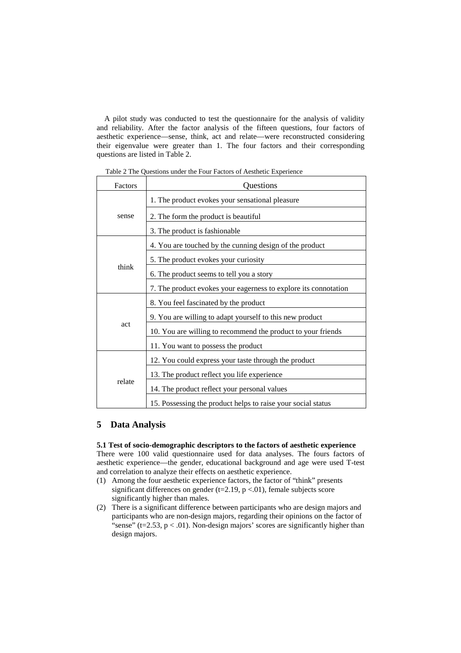A pilot study was conducted to test the questionnaire for the analysis of validity and reliability. After the factor analysis of the fifteen questions, four factors of aesthetic experience—sense, think, act and relate—were reconstructed considering their eigenvalue were greater than 1. The four factors and their corresponding questions are listed in Table 2.

| Factors | Questions                                                       |  |  |
|---------|-----------------------------------------------------------------|--|--|
|         | 1. The product evokes your sensational pleasure                 |  |  |
| sense   | 2. The form the product is beautiful                            |  |  |
|         | 3. The product is fashionable                                   |  |  |
| think   | 4. You are touched by the cunning design of the product         |  |  |
|         | 5. The product evokes your curiosity                            |  |  |
|         | 6. The product seems to tell you a story                        |  |  |
|         | 7. The product evokes your eagerness to explore its connotation |  |  |
| act     | 8. You feel fascinated by the product                           |  |  |
|         | 9. You are willing to adapt yourself to this new product        |  |  |
|         | 10. You are willing to recommend the product to your friends    |  |  |
|         | 11. You want to possess the product                             |  |  |
| relate  | 12. You could express your taste through the product            |  |  |
|         | 13. The product reflect you life experience                     |  |  |
|         | 14. The product reflect your personal values                    |  |  |
|         | 15. Possessing the product helps to raise your social status    |  |  |

Table 2 The Questions under the Four Factors of Aesthetic Experience

# **5 Data Analysis**

### **5.1 Test of socio-demographic descriptors to the factors of aesthetic experience**

There were 100 valid questionnaire used for data analyses. The fours factors of aesthetic experience—the gender, educational background and age were used T-test and correlation to analyze their effects on aesthetic experience.

- (1) Among the four aesthetic experience factors, the factor of "think" presents significant differences on gender (t=2.19,  $p < 01$ ), female subjects score significantly higher than males.
- (2) There is a significant difference between participants who are design majors and participants who are non-design majors, regarding their opinions on the factor of "sense" ( $t=2.53$ ,  $p < .01$ ). Non-design majors' scores are significantly higher than design majors.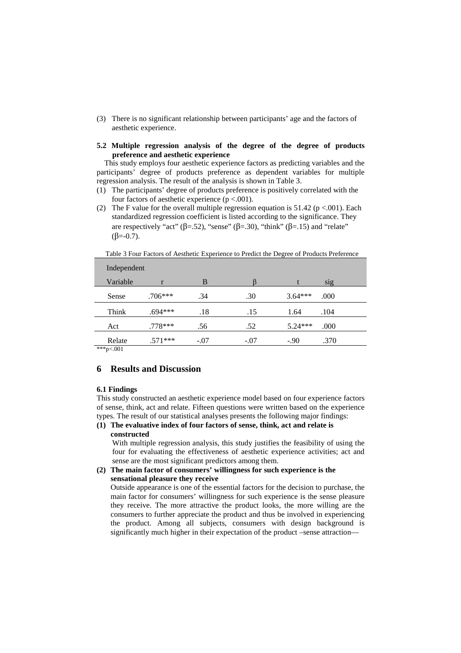- (3) There is no significant relationship between participants' age and the factors of aesthetic experience.
- **5.2 Multiple regression analysis of the degree of the degree of products preference and aesthetic experience**

This study employs four aesthetic experience factors as predicting variables and the participants' degree of products preference as dependent variables for multiple regression analysis. The result of the analysis is shown in Table 3.

- (1) The participants' degree of products preference is positively correlated with the four factors of aesthetic experience  $(p < .001)$ .
- (2) The F value for the overall multiple regression equation is  $51.42$  (p <.001). Each standardized regression coefficient is listed according to the significance. They are respectively "act" ( $\beta$ =.52), "sense" ( $\beta$ =.30), "think" ( $\beta$ =.15) and "relate"  $(β=-0.7)$ .

| Independent            |           |        |        |           |      |  |  |
|------------------------|-----------|--------|--------|-----------|------|--|--|
| Variable               |           | В      |        |           | sig  |  |  |
| Sense                  | $.706***$ | .34    | .30    | $3.64***$ | .000 |  |  |
| Think                  | $.694***$ | .18    | .15    | 1.64      | .104 |  |  |
| Act                    | $.778***$ | .56    | .52    | $5.24***$ | .000 |  |  |
| Relate<br>$444 - 2001$ | $.571***$ | $-.07$ | $-.07$ | $-.90$    | .370 |  |  |

Table 3 Four Factors of Aesthetic Experience to Predict the Degree of Products Preference

\*\*\*p<.001

# **6 Results and Discussion**

#### **6.1 Findings**

This study constructed an aesthetic experience model based on four experience factors of sense, think, act and relate. Fifteen questions were written based on the experience types. The result of our statistical analyses presents the following major findings:

**(1) The evaluative index of four factors of sense, think, act and relate is constructed** 

With multiple regression analysis, this study justifies the feasibility of using the four for evaluating the effectiveness of aesthetic experience activities; act and sense are the most significant predictors among them.

### **(2) The main factor of consumers' willingness for such experience is the sensational pleasure they receive**

Outside appearance is one of the essential factors for the decision to purchase, the main factor for consumers' willingness for such experience is the sense pleasure they receive. The more attractive the product looks, the more willing are the consumers to further appreciate the product and thus be involved in experiencing the product. Among all subjects, consumers with design background is significantly much higher in their expectation of the product –sense attraction—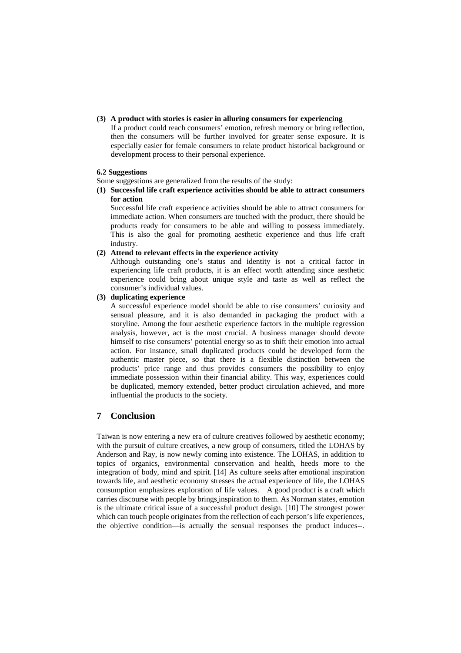### **(3) A product with stories is easier in alluring consumers for experiencing**

If a product could reach consumers' emotion, refresh memory or bring reflection, then the consumers will be further involved for greater sense exposure. It is especially easier for female consumers to relate product historical background or development process to their personal experience.

#### **6.2 Suggestions**

Some suggestions are generalized from the results of the study:

**(1) Successful life craft experience activities should be able to attract consumers for action** 

Successful life craft experience activities should be able to attract consumers for immediate action. When consumers are touched with the product, there should be products ready for consumers to be able and willing to possess immediately. This is also the goal for promoting aesthetic experience and thus life craft industry.

### **(2) Attend to relevant effects in the experience activity**

Although outstanding one's status and identity is not a critical factor in experiencing life craft products, it is an effect worth attending since aesthetic experience could bring about unique style and taste as well as reflect the consumer's individual values.

### **(3) duplicating experience**

A successful experience model should be able to rise consumers' curiosity and sensual pleasure, and it is also demanded in packaging the product with a storyline. Among the four aesthetic experience factors in the multiple regression analysis, however, act is the most crucial. A business manager should devote himself to rise consumers' potential energy so as to shift their emotion into actual action. For instance, small duplicated products could be developed form the authentic master piece, so that there is a flexible distinction between the products' price range and thus provides consumers the possibility to enjoy immediate possession within their financial ability. This way, experiences could be duplicated, memory extended, better product circulation achieved, and more influential the products to the society.

## **7 Conclusion**

Taiwan is now entering a new era of culture creatives followed by aesthetic economy; with the pursuit of culture creatives, a new group of consumers, titled the LOHAS by Anderson and Ray, is now newly coming into existence. The LOHAS, in addition to topics of organics, environmental conservation and health, heeds more to the integration of body, mind and spirit. [14] As culture seeks after emotional inspiration towards life, and aesthetic economy stresses the actual experience of life, the LOHAS consumption emphasizes exploration of life values. A good product is a craft which carries discourse with people by brings inspiration to them. As Norman states, emotion is the ultimate critical issue of a successful product design. [10] The strongest power which can touch people originates from the reflection of each person's life experiences, the objective condition—is actually the sensual responses the product induces--.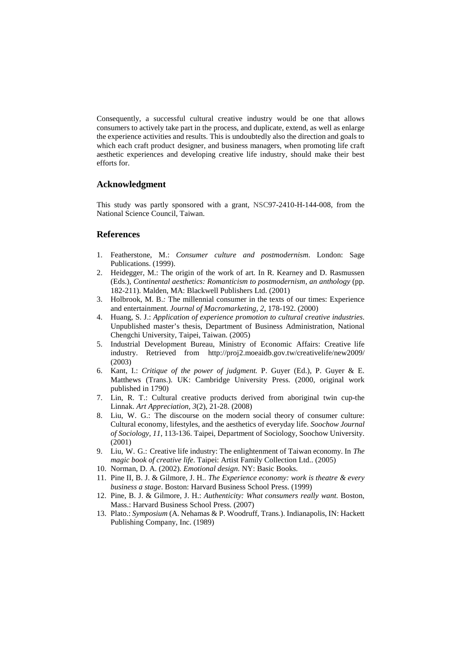Consequently, a successful cultural creative industry would be one that allows consumers to actively take part in the process, and duplicate, extend, as well as enlarge the experience activities and results. This is undoubtedly also the direction and goals to which each craft product designer, and business managers, when promoting life craft aesthetic experiences and developing creative life industry, should make their best efforts for.

# **Acknowledgment**

This study was partly sponsored with a grant, NSC97-2410-H-144-008, from the National Science Council, Taiwan.

# **References**

- 1. Featherstone, M.: *Consumer culture and postmodernism*. London: Sage Publications. (1999).
- 2. Heidegger, M.: The origin of the work of art. In R. Kearney and D. Rasmussen (Eds.), *Continental aesthetics: Romanticism to postmodernism, an anthology* (pp. 182-211). Malden, MA: Blackwell Publishers Ltd. (2001)
- 3. Holbrook, M. B.*:* The millennial consumer in the texts of our times: Experience and entertainment. *Journal of Macromarketing, 2,* 178-192. (2000)
- 4. Huang, S. J.: *Application of experience promotion to cultural creative industries*. Unpublished master's thesis, Department of Business Administration, National Chengchi University, Taipei, Taiwan. (2005)
- 5. Industrial Development Bureau, Ministry of Economic Affairs: Creative life industry. Retrieved from http://proj2.moeaidb.gov.tw/creativelife/new2009/ (2003)
- 6. Kant, I.: *Critique of the power of judgment.* P. Guyer (Ed.), P. Guyer & E. Matthews (Trans.). UK: Cambridge University Press. (2000, original work published in 1790)
- 7. Lin, R. T.: Cultural creative products derived from aboriginal twin cup-the Linnak. *Art Appreciation, 3*(2), 21-28. (2008)
- 8. Liu, W. G.: The discourse on the modern social theory of consumer culture: Cultural economy, lifestyles, and the aesthetics of everyday life. *Soochow Journal of Sociology, 11*, 113-136. Taipei, Department of Sociology, Soochow University. (2001)
- 9. Liu, W. G.: Creative life industry: The enlightenment of Taiwan economy. In *The magic book of creative life*. Taipei: Artist Family Collection Ltd.. (2005)
- 10. Norman, D. A. (2002). *Emotional design.* NY: Basic Books.
- 11. Pine II, B. J. & Gilmore, J. H.. *The Experience economy: work is theatre & every business a stage*. Boston: Harvard Business School Press. (1999)
- 12. Pine, B. J. & Gilmore, J. H.: *Authenticity: What consumers really want*. Boston, Mass.: Harvard Business School Press. (2007)
- 13. Plato.: *Symposium* (A. Nehamas & P. Woodruff, Trans.). Indianapolis, IN: Hackett Publishing Company, Inc. (1989)